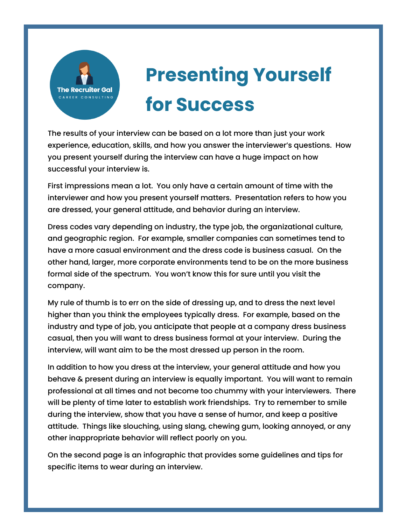

## **Presenting Yourself for Success**

The results of your interview can be based on a lot more than just your work experience, education, skills, and how you answer the interviewer's questions. How you present yourself during the interview can have a huge impact on how successful your interview is.

First impressions mean a lot. You only have a certain amount of time with the interviewer and how you present yourself matters. Presentation refers to how you are dressed, your general attitude, and behavior during an interview.

Dress codes vary depending on industry, the type job, the organizational culture, and geographic region. For example, smaller companies can sometimes tend to have a more casual environment and the dress code is business casual. On the other hand, larger, more corporate environments tend to be on the more business formal side of the spectrum. You won't know this for sure until you visit the company.

My rule of thumb is to err on the side of dressing up, and to dress the next level higher than you think the employees typically dress. For example, based on the industry and type of job, you anticipate that people at a company dress business casual, then you will want to dress business formal at your interview. During the interview, will want aim to be the most dressed up person in the room.

In addition to how you dress at the interview, your general attitude and how you behave & present during an interview is equally important. You will want to remain professional at all times and not become too chummy with your interviewers. There will be plenty of time later to establish work friendships. Try to remember to smile during the interview, show that you have a sense of humor, and keep a positive attitude. Things like slouching, using slang, chewing gum, looking annoyed, or any other inappropriate behavior will reflect poorly on you.

On the second page is an infographic that provides some guidelines and tips for specific items to wear during an interview.